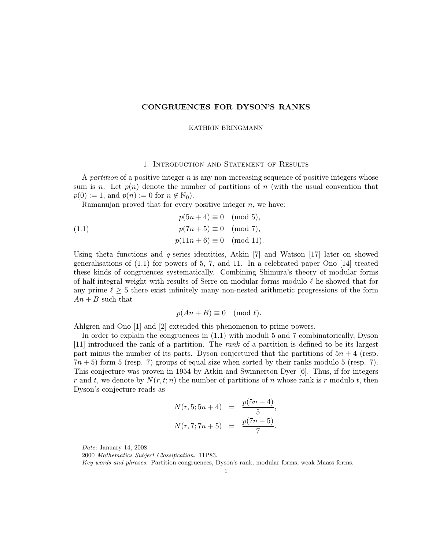# CONGRUENCES FOR DYSON'S RANKS

#### KATHRIN BRINGMANN

# 1. Introduction and Statement of Results

A partition of a positive integer  $n$  is any non-increasing sequence of positive integers whose sum is n. Let  $p(n)$  denote the number of partitions of n (with the usual convention that  $p(0) := 1$ , and  $p(n) := 0$  for  $n \notin \mathbb{N}_0$ .

Ramanujan proved that for every positive integer  $n$ , we have:

(1.1) 
$$
p(5n + 4) \equiv 0 \pmod{5},
$$

$$
p(7n + 5) \equiv 0 \pmod{7},
$$

$$
p(11n + 6) \equiv 0 \pmod{11}.
$$

Using theta functions and q-series identities, Atkin  $[7]$  and Watson  $[17]$  later on showed generalisations of  $(1.1)$  for powers of 5, 7, and 11. In a celebrated paper Ono  $[14]$  treated these kinds of congruences systematically. Combining Shimura's theory of modular forms of half-integral weight with results of Serre on modular forms modulo  $\ell$  he showed that for any prime  $\ell > 5$  there exist infinitely many non-nested arithmetic progressions of the form  $An + B$  such that

$$
p(An + B) \equiv 0 \pmod{\ell}.
$$

Ahlgren and Ono [1] and [2] extended this phenomenon to prime powers.

In order to explain the congruences in (1.1) with moduli 5 and 7 combinatorically, Dyson [11] introduced the rank of a partition. The rank of a partition is defined to be its largest part minus the number of its parts. Dyson conjectured that the partitions of  $5n + 4$  (resp.  $7n + 5$ ) form 5 (resp. 7) groups of equal size when sorted by their ranks modulo 5 (resp. 7). This conjecture was proven in 1954 by Atkin and Swinnerton Dyer [6]. Thus, if for integers r and t, we denote by  $N(r, t; n)$  the number of partitions of n whose rank is r modulo t, then Dyson's conjecture reads as

$$
N(r, 5; 5n + 4) = \frac{p(5n + 4)}{5},
$$
  

$$
N(r, 7; 7n + 5) = \frac{p(7n + 5)}{7}.
$$

Date: January 14, 2008.

<sup>2000</sup> Mathematics Subject Classification. 11P83.

Key words and phrases. Partition congruences, Dyson's rank, modular forms, weak Maass forms.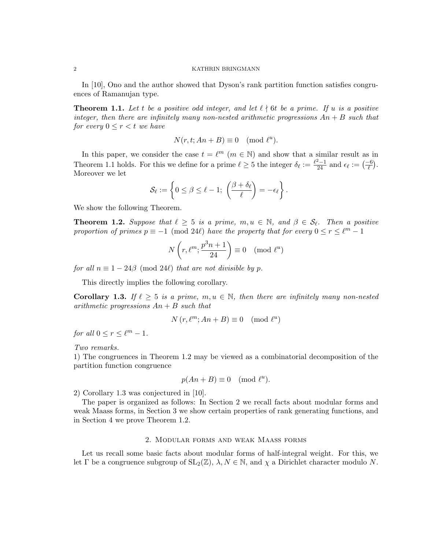In [10], Ono and the author showed that Dyson's rank partition function satisfies congruences of Ramanujan type.

**Theorem 1.1.** Let t be a positive odd integer, and let  $\ell \nmid 6t$  be a prime. If u is a positive integer, then there are infinitely many non-nested arithmetic progressions  $An + B$  such that for every  $0 \leq r < t$  we have

$$
N(r, t; An + B) \equiv 0 \pmod{\ell^u}.
$$

In this paper, we consider the case  $t = \ell^m$   $(m \in \mathbb{N})$  and show that a similar result as in Theorem 1.1 holds. For this we define for a prime  $\ell \geq 5$  the integer  $\delta_{\ell} := \frac{\ell^2 - 1}{24}$  and  $\epsilon_{\ell} := \left(-\frac{6}{\ell}\right)$ . Moreover we let

$$
\mathcal{S}_{\ell} := \left\{ 0 \leq \beta \leq \ell - 1; \ \left( \frac{\beta + \delta_{\ell}}{\ell} \right) = -\epsilon_{\ell} \right\}.
$$

We show the following Theorem.

**Theorem 1.2.** Suppose that  $\ell \geq 5$  is a prime,  $m, u \in \mathbb{N}$ , and  $\beta \in \mathcal{S}_{\ell}$ . Then a positive proportion of primes  $p \equiv -1 \pmod{24\ell}$  have the property that for every  $0 \le r \le \ell^m - 1$ 

$$
N\left(r, \ell^m; \frac{p^3n+1}{24}\right) \equiv 0 \pmod{\ell^u}
$$

for all  $n \equiv 1 - 24\beta \pmod{24\ell}$  that are not divisible by p.

This directly implies the following corollary.

**Corollary 1.3.** If  $\ell \geq 5$  is a prime,  $m, u \in \mathbb{N}$ , then there are infinitely many non-nested arithmetic progressions  $An + B$  such that

$$
N(r, \ell^m; An + B) \equiv 0 \pmod{\ell^u}
$$

for all  $0 \le r \le \ell^m - 1$ .

Two remarks.

1) The congruences in Theorem 1.2 may be viewed as a combinatorial decomposition of the partition function congruence

$$
p(An + B) \equiv 0 \pmod{\ell^u}.
$$

2) Corollary 1.3 was conjectured in [10].

The paper is organized as follows: In Section 2 we recall facts about modular forms and weak Maass forms, in Section 3 we show certain properties of rank generating functions, and in Section 4 we prove Theorem 1.2.

## 2. Modular forms and weak Maass forms

Let us recall some basic facts about modular forms of half-integral weight. For this, we let Γ be a congruence subgroup of  $SL_2(\mathbb{Z})$ ,  $\lambda, N \in \mathbb{N}$ , and  $\chi$  a Dirichlet character modulo N.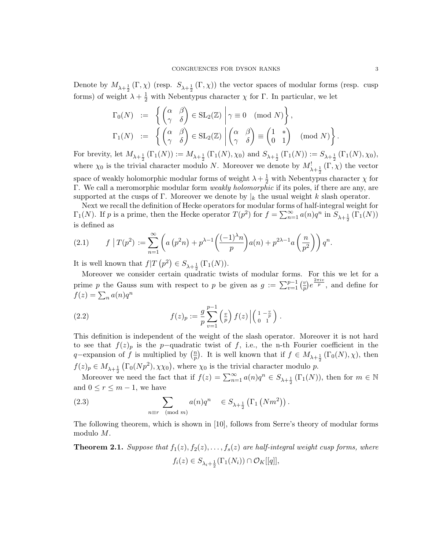Denote by  $M_{\lambda+\frac{1}{2}}(\Gamma,\chi)$  (resp.  $S_{\lambda+\frac{1}{2}}(\Gamma,\chi)$ ) the vector spaces of modular forms (resp. cusp forms) of weight  $\lambda + \frac{1}{2}$  with Nebentypus character  $\chi$  for  $\Gamma$ . In particular, we let

$$
\begin{array}{rcl}\n\Gamma_0(N) & := & \left\{ \begin{pmatrix} \alpha & \beta \\ \gamma & \delta \end{pmatrix} \in SL_2(\mathbb{Z}) \; \middle| \; \gamma \equiv 0 \pmod{N} \right\}, \\
\Gamma_1(N) & := & \left\{ \begin{pmatrix} \alpha & \beta \\ \gamma & \delta \end{pmatrix} \in SL_2(\mathbb{Z}) \; \middle| \begin{pmatrix} \alpha & \beta \\ \gamma & \delta \end{pmatrix} \equiv \begin{pmatrix} 1 & * \\ 0 & 1 \end{pmatrix} \pmod{N} \right\}\n\end{array}
$$

For brevity, let  $M_{\lambda+\frac{1}{2}}(\Gamma_1(N)) := M_{\lambda+\frac{1}{2}}(\Gamma_1(N), \chi_0)$  and  $S_{\lambda+\frac{1}{2}}(\Gamma_1(N)) := S_{\lambda+\frac{1}{2}}(\Gamma_1(N), \chi_0)$ , where  $\chi_0$  is the trivial character modulo N. Moreover we denote by  $M^!_{\lambda+\frac{1}{2}}(\Gamma,\chi)$  the vector space of weakly holomorphic modular forms of weight  $\lambda + \frac{1}{2}$  with Nebentypus character  $\chi$  for Γ. We call a meromorphic modular form weakly holomorphic if its poles, if there are any, are supported at the cusps of Γ. Moreover we denote by  $\vert_k$  the usual weight k slash operator.

Next we recall the definition of Hecke operators for modular forms of half-integral weight for  $\Gamma_1(N)$ . If p is a prime, then the Hecke operator  $T(p^2)$  for  $f = \sum_{n=1}^{\infty} a(n)q^n$  in  $S_{\lambda+\frac{1}{2}}(\Gamma_1(N))$ is defined as

(2.1) 
$$
f\mid T(p^2) := \sum_{n=1}^{\infty} \left( a\left(p^2n\right) + p^{\lambda-1} \left( \frac{(-1)^{\lambda}n}{p} \right) a(n) + p^{2\lambda-1} a\left( \frac{n}{p^2} \right) \right) q^n.
$$

It is well known that  $f|T(p^2) \in S_{\lambda + \frac{1}{2}}(\Gamma_1(N)).$ 

Moreover we consider certain quadratic twists of modular forms. For this we let for a prime p the Gauss sum with respect to p be given as  $g := \sum_{v=1}^{p-1} \left(\frac{v}{p}\right)^v$  $(\frac{v}{p})e^{\frac{2\pi iv}{p}},$  and define for  $f(z) = \sum_n a(n)q^n$ 

(2.2) 
$$
f(z)_p := \frac{g}{p} \sum_{v=1}^{p-1} \left(\frac{v}{p}\right) f(z) \left| \begin{pmatrix} 1 & -\frac{v}{p} \\ 0 & 1 \end{pmatrix} \right|.
$$

This definition is independent of the weight of the slash operator. Moreover it is not hard to see that  $f(z_p)$  is the p-quadratic twist of f, i.e., the n-th Fourier coefficient in the q–expansion of f is multiplied by  $\left(\frac{n}{n}\right)$  $\frac{m}{p}$ ). It is well known that if  $f \in M_{\lambda + \frac{1}{2}}(\Gamma_0(N), \chi)$ , then  $f(z)_p \in M_{\lambda + \frac{1}{2}}(\Gamma_0(Np^2), \chi \chi_0)$ , where  $\chi_0$  is the trivial character modulo p.

Moreover we need the fact that if  $f(z) = \sum_{n=1}^{\infty} a(n)q^n \in S_{\lambda + \frac{1}{2}}(\Gamma_1(N))$ , then for  $m \in \mathbb{N}$ and  $0 \leq r \leq m-1$ , we have

(2.3) 
$$
\sum_{n \equiv r \pmod{m}} a(n) q^n \in S_{\lambda + \frac{1}{2}} (\Gamma_1 (Nm^2)).
$$

The following theorem, which is shown in [10], follows from Serre's theory of modular forms modulo M.

**Theorem 2.1.** Suppose that  $f_1(z), f_2(z), \ldots, f_s(z)$  are half-integral weight cusp forms, where  $f_i(z) \in S_{\lambda_i + \frac{1}{2}}(\Gamma_1(N_i)) \cap \mathcal{O}_K[[q]],$ 

.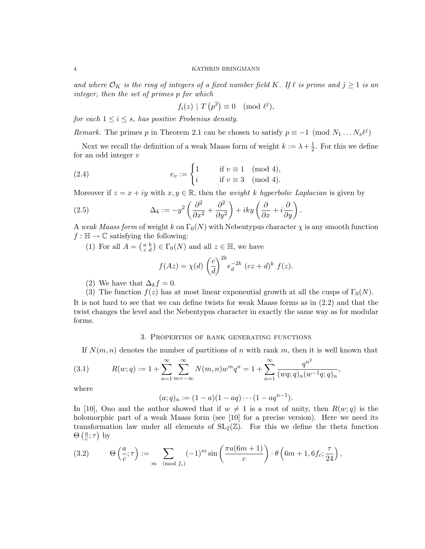and where  $\mathcal{O}_K$  is the ring of integers of a fixed number field K. If  $\ell$  is prime and  $j \geq 1$  is an integer, then the set of primes p for which

$$
f_i(z) | T (p^2) \equiv 0 \pmod{\ell^j},
$$

for each  $1 \leq i \leq s$ , has positive Frobenius density.

*Remark.* The primes p in Theorem 2.1 can be chosen to satisfy  $p \equiv -1 \pmod{N_1 \dots N_s \ell^j}$ 

Next we recall the definition of a weak Maass form of weight  $k := \lambda + \frac{1}{2}$  $\frac{1}{2}$ . For this we define for an odd integer v

(2.4) 
$$
e_v := \begin{cases} 1 & \text{if } v \equiv 1 \pmod{4}, \\ i & \text{if } v \equiv 3 \pmod{4}. \end{cases}
$$

Moreover if  $z = x + iy$  with  $x, y \in \mathbb{R}$ , then the *weight k hyperbolic Laplacian* is given by

(2.5) 
$$
\Delta_k := -y^2 \left( \frac{\partial^2}{\partial x^2} + \frac{\partial^2}{\partial y^2} \right) + iky \left( \frac{\partial}{\partial x} + i \frac{\partial}{\partial y} \right).
$$

A weak Maass form of weight k on  $\Gamma_0(N)$  with Nebentypus character  $\chi$  is any smooth function  $f : \mathbb{H} \to \mathbb{C}$  satisfying the following:

(1) For all  $A = \begin{pmatrix} a & b \\ c & d \end{pmatrix} \in \Gamma_0(N)$  and all  $z \in \mathbb{H}$ , we have

$$
f(Az) = \chi(d) \left(\frac{c}{d}\right)^{2k} e_d^{-2k} (cz+d)^k f(z).
$$

- (2) We have that  $\Delta_k f = 0$ .
- (3) The function  $f(z)$  has at most linear exponential growth at all the cusps of  $\Gamma_0(N)$ .

It is not hard to see that we can define twists for weak Maass forms as in (2.2) and that the twist changes the level and the Nebentypus character in exactly the same way as for modular forms.

## 3. Properties of rank generating functions

If  $N(m, n)$  denotes the number of partitions of n with rank m, then it is well known that

(3.1) 
$$
R(w;q) := 1 + \sum_{n=1}^{\infty} \sum_{m=-\infty}^{\infty} N(m,n)w^m q^n = 1 + \sum_{n=1}^{\infty} \frac{q^{n^2}}{(wq;q)_n(w^{-1}q;q)_n},
$$

where

$$
(a;q)_n := (1-a)(1-aq) \cdots (1-aq^{n-1}).
$$

In [10], Ono and the author showed that if  $w \neq 1$  is a root of unity, then  $R(w; q)$  is the holomorphic part of a weak Maass form (see [10] for a precise version). Here we need its transformation law under all elements of  $SL_2(\mathbb{Z})$ . For this we define the theta function  $\Theta\left(\frac{a}{c}\right)$  $\frac{a}{c}$ ;  $\tau$ ) by

(3.2) 
$$
\Theta\left(\frac{a}{c};\tau\right) := \sum_{m \pmod{f_c}} (-1)^m \sin\left(\frac{\pi a(6m+1)}{c}\right) \cdot \theta\left(6m+1,6f_c;\frac{\tau}{24}\right),
$$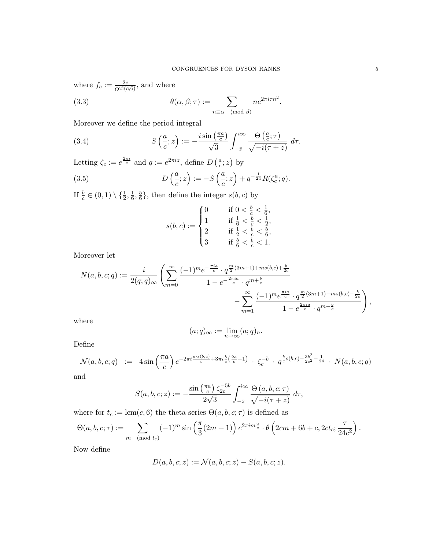.

where  $f_c := \frac{2c}{\gcd(c, 6)}$ , and where

(3.3) 
$$
\theta(\alpha, \beta; \tau) := \sum_{n \equiv \alpha \pmod{\beta}} n e^{2\pi i \tau n^2}
$$

Moreover we define the period integral

(3.4) 
$$
S\left(\frac{a}{c};z\right) := -\frac{i\sin\left(\frac{\pi a}{c}\right)}{\sqrt{3}} \int_{-\bar{z}}^{i\infty} \frac{\Theta\left(\frac{a}{c};\tau\right)}{\sqrt{-i(\tau+z)}} d\tau.
$$

Letting  $\zeta_c := e^{\frac{2\pi i}{c}}$  and  $q := e^{2\pi i z}$ , define  $D\left(\frac{a}{c}\right)$  $\frac{a}{c}$ ; z) by

(3.5) 
$$
D\left(\frac{a}{c};z\right) := -S\left(\frac{a}{c};z\right) + q^{-\frac{1}{24}}R(\zeta_c^a;q).
$$

If  $\frac{b}{c} \in (0,1) \setminus \{\frac{1}{2}, \frac{1}{6}\}$  $\frac{1}{6}, \frac{5}{6}$  $\frac{5}{6}$ , then define the integer  $s(b, c)$  by

$$
s(b, c) := \begin{cases} 0 & \text{if } 0 < \frac{b}{c} < \frac{1}{6}, \\ 1 & \text{if } \frac{1}{6} < \frac{b}{c} < \frac{1}{2}, \\ 2 & \text{if } \frac{1}{2} < \frac{b}{c} < \frac{5}{6}, \\ 3 & \text{if } \frac{5}{6} < \frac{b}{c} < 1. \end{cases}
$$

Moreover let

$$
N(a,b,c;q) := \frac{i}{2(q;q)_{\infty}} \left( \sum_{m=0}^{\infty} \frac{(-1)^m e^{-\frac{\pi i a}{c}} \cdot q^{\frac{m}{2}(3m+1) + ms(b,c) + \frac{b}{2c}}}{1 - e^{-\frac{2\pi i a}{c}} \cdot q^{m + \frac{b}{c}}} - \sum_{m=1}^{\infty} \frac{(-1)^m e^{\frac{\pi i a}{c}} \cdot q^{\frac{m}{2}(3m+1) - ms(b,c) - \frac{b}{2c}}}{1 - e^{\frac{2\pi i a}{c}} \cdot q^{m - \frac{b}{c}}}\right),
$$

where

$$
(a;q)_{\infty} := \lim_{n \to \infty} (a;q)_n.
$$

Define

$$
\mathcal{N}(a,b,c;q) \ := \ 4\sin\left(\frac{\pi a}{c}\right)e^{-2\pi i\frac{a\cdot s(b,c)}{c}+3\pi i\frac{b}{c}\left(\frac{2a}{c}-1\right)} \cdot \zeta_c^{-b} \cdot q^{\frac{b}{c}s(b,c)-\frac{3b^2}{2c^2}-\frac{1}{24}} \cdot N(a,b,c;q)
$$

and

$$
S(a,b,c;z) := -\frac{\sin\left(\frac{\pi a}{c}\right)\zeta_{2c}^{-5b}}{2\sqrt{3}} \int_{-\bar{z}}^{i\infty} \frac{\Theta\left(a,b,c;\tau\right)}{\sqrt{-i(\tau+z)}} d\tau,
$$

where for  $t_c := \text{lcm}(c, 6)$  the theta series  $\Theta(a, b, c; \tau)$  is defined as

$$
\Theta(a, b, c; \tau) := \sum_{m \pmod{t_c}} (-1)^m \sin\left(\frac{\pi}{3}(2m+1)\right) e^{2\pi i m \frac{a}{c}} \cdot \theta\left(2cm + 6b + c, 2ct_c; \frac{\tau}{24c^2}\right).
$$

Now define

$$
D(a, b, c; z) := \mathcal{N}(a, b, c; z) - S(a, b, c; z).
$$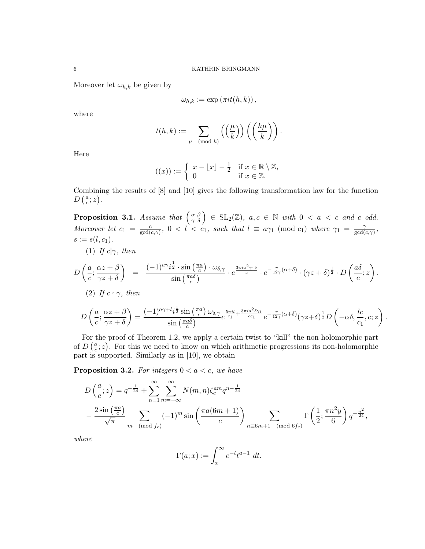Moreover let  $\omega_{h,k}$  be given by

$$
\omega_{h,k} := \exp\left(\pi it(h,k)\right),\,
$$

where

$$
t(h,k) := \sum_{\mu \pmod{k}} \left( \left( \frac{\mu}{k} \right) \right) \left( \left( \frac{h\mu}{k} \right) \right).
$$

Here

$$
((x)) := \begin{cases} x - \lfloor x \rfloor - \frac{1}{2} & \text{if } x \in \mathbb{R} \setminus \mathbb{Z}, \\ 0 & \text{if } x \in \mathbb{Z}. \end{cases}
$$

Combining the results of [8] and [10] gives the following transformation law for the function  $D\left(\frac{a}{c}\right)$  $\frac{a}{c};z$ ).

**Proposition 3.1.** Assume that  $\begin{pmatrix} \alpha & \beta \\ \gamma & \delta \end{pmatrix} \in \text{SL}_2(\mathbb{Z})$ ,  $a, c \in \mathbb{N}$  with  $0 < a < c$  and c odd. Moreover let  $c_1 = \frac{c}{\gcd(\alpha)}$  $\frac{c}{\gcd(c,\gamma)}$ ,  $0 < l < c_1$ , such that  $l \equiv a\gamma_1 \pmod{c_1}$  where  $\gamma_1 = \frac{\gamma}{\gcd(d,\gamma)}$  $\frac{\gamma}{\gcd(c,\gamma)},$  $s := s(l, c_1).$ 

(1) If 
$$
c|\gamma
$$
, then

 $\gamma z + \delta$ 

$$
D\left(\frac{a}{c};\frac{\alpha z+\beta}{\gamma z+\delta}\right) = \frac{(-1)^{a\gamma}i^{\frac{1}{2}}\cdot \sin\left(\frac{\pi a}{c}\right)\cdot \omega_{\delta,\gamma}}{\sin\left(\frac{\pi a\delta}{c}\right)} \cdot e^{\frac{3\pi i a^2\gamma_1 \delta}{c}} \cdot e^{-\frac{\pi}{12\gamma}(\alpha+\delta)} \cdot (\gamma z+\delta)^{\frac{1}{2}} \cdot D\left(\frac{a\delta}{c};z\right).
$$
  
\n(2) If  $c \nmid \gamma$ , then  
\n
$$
D\left(\frac{a}{c};\frac{\alpha z+\beta}{\gamma z+\delta}\right) = \frac{(-1)^{a\gamma+l}i^{\frac{1}{2}}\sin\left(\frac{\pi a}{c}\right)\omega_{\delta,\gamma}}{\sin\left(\frac{\pi a\delta}{c}\right)}e^{\frac{5\pi i l}{c_{1}}} + \frac{3\pi i a^{2}\delta\gamma_{1}}{cc_{1}}e^{-\frac{\pi}{12\gamma}(\alpha+\delta)}(\gamma z+\delta)^{\frac{1}{2}}D\left(-\alpha\delta,\frac{lc}{c_{1}},c;z\right).
$$

For the proof of Theorem 1.2, we apply a certain twist to "kill" the non-holomorphic part of  $D\left(\frac{a}{c}\right)$  $\frac{a}{c}$ ; z). For this we need to know on which arithmetic progressions its non-holomorphic part is supported. Similarly as in [10], we obtain

**Proposition 3.2.** For integers  $0 < a < c$ , we have

$$
D\left(\frac{a}{c};z\right) = q^{-\frac{1}{24}} + \sum_{n=1}^{\infty} \sum_{m=-\infty}^{\infty} N(m,n) \zeta_c^{am} q^{n-\frac{1}{24}}
$$
  
-  $\frac{2\sin\left(\frac{\pi a}{c}\right)}{\sqrt{\pi}} \sum_{m \pmod{f_c}} (-1)^m \sin\left(\frac{\pi a(6m+1)}{c}\right) \sum_{n \equiv 6m+1 \pmod{6f_c}} \Gamma\left(\frac{1}{2}; \frac{\pi n^2 y}{6}\right) q^{-\frac{n^2}{24}},$ 

where

$$
\Gamma(a; x) := \int_x^{\infty} e^{-t} t^{a-1} dt.
$$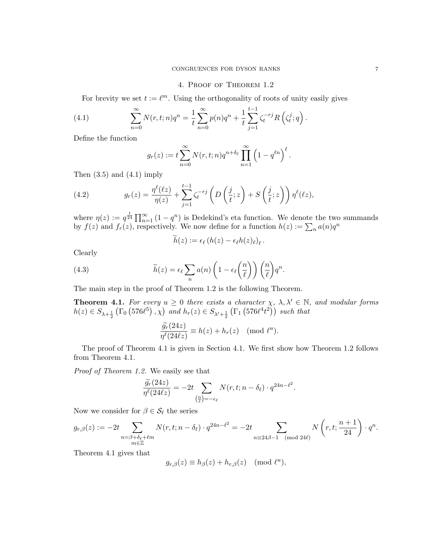## 4. Proof of Theorem 1.2

For brevity we set  $t := \ell^m$ . Using the orthogonality of roots of unity easily gives

(4.1) 
$$
\sum_{n=0}^{\infty} N(r, t; n) q^n = \frac{1}{t} \sum_{n=0}^{\infty} p(n) q^n + \frac{1}{t} \sum_{j=1}^{t-1} \zeta_t^{-rj} R\left(\zeta_t^j; q\right).
$$

Define the function

$$
g_r(z) := t \sum_{n=0}^{\infty} N(r, t; n) q^{n+\delta_{\ell}} \prod_{n=1}^{\infty} \left(1 - q^{\ell n}\right)^{\ell}.
$$

Then  $(3.5)$  and  $(4.1)$  imply

(4.2) 
$$
g_r(z) = \frac{\eta^{\ell}(\ell z)}{\eta(z)} + \sum_{j=1}^{t-1} \zeta_t^{-r_j} \left( D\left(\frac{j}{t}; z\right) + S\left(\frac{j}{t}; z\right) \right) \eta^{\ell}(\ell z),
$$

where  $\eta(z) := q^{\frac{1}{24}} \prod_{n=1}^{\infty} (1 - q^n)$  is Dedekind's eta function. We denote the two summands by  $f(z)$  and  $f_r(z)$ , respectively. We now define for a function  $h(z) := \sum_n a(n)q^n$ 

$$
h(z) := \epsilon_{\ell} (h(z) - \epsilon_{\ell} h(z)_{\ell})_{\ell}.
$$

Clearly

(4.3) 
$$
\widetilde{h}(z) = \epsilon_{\ell} \sum_{n} a(n) \left( 1 - \epsilon_{\ell} \left( \frac{n}{\ell} \right) \right) \left( \frac{n}{\ell} \right) q^{n}.
$$

The main step in the proof of Theorem 1.2 is the following Theorem.

**Theorem 4.1.** For every  $u \geq 0$  there exists a character  $\chi$ ,  $\lambda$ ,  $\lambda' \in \mathbb{N}$ , and modular forms  $h(z) \in S_{\lambda + \frac{1}{2}} (\Gamma_0 (576 \ell^5), \chi)$  and  $h_r(z) \in S_{\lambda' + \frac{1}{2}} (\Gamma_1 (576 \ell^4 t^2))$  such that

$$
\frac{\widetilde{g_r}(24z)}{\eta^{\ell}(24\ell z)} \equiv h(z) + h_r(z) \pmod{\ell^u}.
$$

The proof of Theorem 4.1 is given in Section 4.1. We first show how Theorem 1.2 follows from Theorem 4.1.

Proof of Theorem 1.2. We easily see that

$$
\frac{\widetilde{g_r}(24z)}{\eta^{\ell}(24\ell z)} = -2t \sum_{\left(\frac{n}{\ell}\right)=-\epsilon_{\ell}} N(r,t;n-\delta_{\ell}) \cdot q^{24n-\ell^2}.
$$

Now we consider for  $\beta \in \mathcal{S}_{\ell}$  the series

$$
g_{r,\beta}(z):=-2t\sum_{\substack{n=\beta+\delta_\ell+\ell m\\ m\in\mathbb{Z}}}N(r,t;n-\delta_\ell)\cdot q^{24n-\ell^2}=-2t\sum_{\substack{n\equiv 24\beta-1\pmod{24\ell}}}N\left(r,t;\frac{n+1}{24}\right)\cdot q^n.
$$

Theorem 4.1 gives that

$$
g_{r,\beta}(z) \equiv h_{\beta}(z) + h_{r,\beta}(z) \pmod{\ell^u},
$$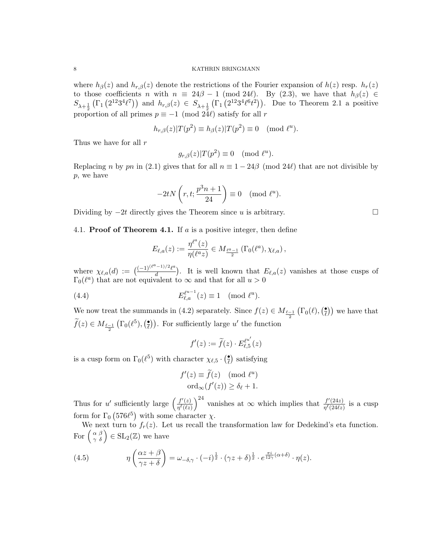where  $h_{\beta}(z)$  and  $h_{r,\beta}(z)$  denote the restrictions of the Fourier expansion of  $h(z)$  resp.  $h_r(z)$ to those coefficients n with  $n \equiv 24\beta - 1 \pmod{24\ell}$ . By (2.3), we have that  $h_{\beta}(z) \in$  $S_{\lambda+\frac{1}{2}}(\Gamma_1(2^{12}3^4\ell^7))$  and  $h_{r,\beta}(z) \in S_{\lambda+\frac{1}{2}}(\Gamma_1(2^{12}3^4\ell^6t^2))$ . Due to Theorem 2.1 a positive proportion of all primes  $p \equiv -1 \pmod{24\ell}$  satisfy for all r

$$
h_{r,\beta}(z)|T(p^2) \equiv h_{\beta}(z)|T(p^2) \equiv 0 \pmod{\ell^u}.
$$

Thus we have for all  $r$ 

$$
g_{r,\beta}(z)|T(p^2) \equiv 0 \pmod{\ell^u}.
$$

Replacing n by pn in (2.1) gives that for all  $n \equiv 1 - 24\beta \pmod{24\ell}$  that are not divisible by p, we have

$$
-2tN\left(r,t;\frac{p^3n+1}{24}\right) \equiv 0 \pmod{\ell^u}.
$$

Dividing by  $-2t$  directly gives the Theorem since u is arbitrary.

4.1. **Proof of Theorem 4.1.** If a is a positive integer, then define

$$
E_{\ell,a}(z) := \frac{\eta^{\ell^a}(z)}{\eta(\ell^a z)} \in M_{\frac{\ell^a-1}{2}}(\Gamma_0(\ell^a), \chi_{\ell,a}),
$$

where  $\chi_{\ell,a}(d) := \frac{(-1)^{(\ell^a - 1)/2} \ell^a}{d}$  $\frac{(-1)^{1/2} \ell^{a}}{d}$ . It is well known that  $E_{\ell,a}(z)$  vanishes at those cusps of  $\Gamma_0(\ell^a)$  that are not equivalent to  $\infty$  and that for all  $u > 0$ 

(4.4) 
$$
E_{\ell,a}^{\ell^{u-1}}(z) \equiv 1 \pmod{\ell^u}.
$$

We now treat the summands in (4.2) separately. Since  $f(z) \in M_{\frac{\ell-1}{2}}(\Gamma_0(\ell), \left(\frac{\bullet}{\ell}\right))$  $(\frac{\bullet}{\ell})$  we have that  $\widetilde{f}(z) \in M_{\frac{\ell-1}{2}}\left(\Gamma_0(\ell^5), \left(\frac{\bullet}{\ell}\right)\right)$ (e)). For sufficiently large  $u'$  the function

$$
f'(z) := \widetilde{f}(z) \cdot E_{\ell,5}^{\ell^{u'}}(z)
$$

is a cusp form on  $\Gamma_0(\ell^5)$  with character  $\chi_{\ell,5} \cdot (\frac{\bullet}{\ell})$  $\frac{\bullet}{\ell}$  satisfying

$$
f'(z) \equiv \tilde{f}(z) \pmod{\ell^u}
$$
  
ord<sub>\infty</sub> $(f'(z)) \ge \delta_\ell + 1$ .

Thus for u' sufficiently large  $\left(\frac{f'(z)}{n\ell(\ell\gamma)}\right)$  $\frac{f'(z)}{\eta^{\ell}(\ell z)}\bigg)^{24}$  vanishes at  $\infty$  which implies that  $\frac{f'(24z)}{\eta^{\ell}(24\ell z)}$  $\frac{\int (24z)}{\eta^{\ell}(24\ell z)}$  is a cusp form for  $\Gamma_0$  (576 $\ell^5$ ) with some character  $\chi$ .

We next turn to  $f_r(z)$ . Let us recall the transformation law for Dedekind's eta function. For  $\begin{pmatrix} \alpha & \beta \\ \gamma & \delta \end{pmatrix} \in SL_2(\mathbb{Z})$  we have

(4.5) 
$$
\eta\left(\frac{\alpha z+\beta}{\gamma z+\delta}\right) = \omega_{-\delta,\gamma} \cdot (-i)^{\frac{1}{2}} \cdot (\gamma z+\delta)^{\frac{1}{2}} \cdot e^{\frac{\pi i}{12\gamma}(\alpha+\delta)} \cdot \eta(z).
$$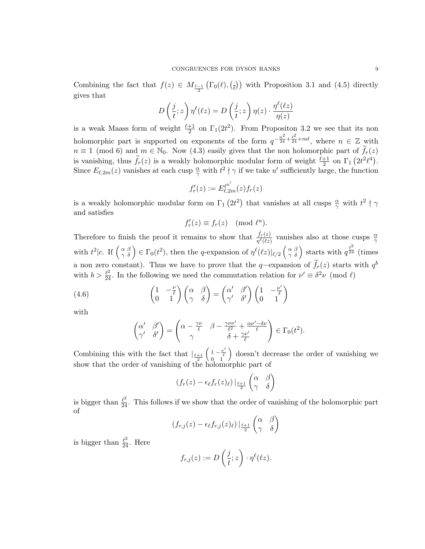Combining the fact that  $f(z) \in M_{\frac{\ell-1}{2}}(\Gamma_0(\ell),\binom{\ell}{\ell})$  $(\frac{1}{\ell})$  with Proposition 3.1 and (4.5) directly gives that

$$
D\left(\frac{j}{t};z\right)\eta^{\ell}(\ell z) = D\left(\frac{j}{t};z\right)\eta(z)\cdot\frac{\eta^{\ell}(\ell z)}{\eta(z)}
$$

is a weak Maass form of weight  $\frac{\ell+1}{2}$  on  $\Gamma_1(2t^2)$ . From Propositon 3.2 we see that its non holomorphic part is supported on exponents of the form  $q^{-\frac{n^2}{24} + \frac{\ell^2}{24} + m\ell}$ , where  $n \in \mathbb{Z}$  with  $n \equiv 1 \pmod{6}$  and  $m \in \mathbb{N}_0$ . Now (4.3) easily gives that the non holomorphic part of  $\widetilde{f}_r(z)$ is vanishing, thus  $\tilde{f}_r(z)$  is a weakly holomorphic modular form of weight  $\frac{\ell+1}{2}$  on  $\Gamma_1(2t^2\ell^4)$ . Since  $E_{\ell,2m}(z)$  vanishes at each cusp  $\frac{\alpha}{\gamma}$  with  $t^2 \nmid \gamma$  if we take u' sufficiently large, the function

$$
f'_r(z):=E_{\ell,2m}^{\ell^{u'}}(z)f_r(z)
$$

is a weakly holomorphic modular form on  $\Gamma_1(2t^2)$  that vanishes at all cusps  $\frac{\alpha}{\gamma}$  with  $t^2 \nmid \gamma$ and satisfies

$$
f'_r(z) \equiv f_r(z) \pmod{\ell^u}.
$$

Therefore to finish the proof it remains to show that  $\frac{\tilde{f}_r(z)}{\eta^{\ell}(z)}$  vanishes also at those cusps  $\frac{\alpha}{\gamma}$ with  $t^2|c$ . If  $\begin{pmatrix} \alpha & \beta \\ \gamma & \delta \end{pmatrix} \in \Gamma_0(t^2)$ , then the q-expansion of  $\eta^{\ell}(\ell z)|_{\ell/2} \begin{pmatrix} \alpha & \beta \\ \gamma & \delta \end{pmatrix}$  starts with  $q^{\frac{\ell^2}{24}}$  (times a non zero constant). Thus we have to prove that the q-expansion of  $\tilde{f}_r(z)$  starts with  $q^b$ with  $b > \frac{\ell^2}{24}$ . In the following we need the commutation relation for  $\nu' \equiv \delta^2 \nu \pmod{\ell}$ 

(4.6) 
$$
\begin{pmatrix} 1 & -\frac{\nu}{\ell} \\ 0 & 1 \end{pmatrix} \begin{pmatrix} \alpha & \beta \\ \gamma & \delta \end{pmatrix} = \begin{pmatrix} \alpha' & \beta' \\ \gamma' & \delta' \end{pmatrix} \begin{pmatrix} 1 & -\frac{\nu'}{\ell} \\ 0 & 1 \end{pmatrix}
$$

with

$$
\begin{pmatrix} \alpha' & \beta' \\ \gamma' & \delta' \end{pmatrix} = \begin{pmatrix} \alpha - \frac{\gamma \nu}{\ell} & \beta - \frac{\gamma \nu \nu'}{\ell^2} + \frac{\alpha \nu' - \delta \nu}{\ell} \\ \gamma & \delta + \frac{\gamma \nu'}{\ell} \end{pmatrix} \in \Gamma_0(t^2).
$$

Combining this with the fact that  $\frac{\ell+1}{2}$  $\left(1-\frac{\nu'}{\ell}\right)$  $\begin{pmatrix} 1 - \frac{\nu'}{\ell} \\ 0 & 1 \end{pmatrix}$  doesn't decrease the order of vanishing we show that the order of vanishing of the holomorphic part of

$$
(f_r(z) - \epsilon_{\ell} f_r(z)_{\ell}) \big|_{\frac{\ell+1}{2}} \begin{pmatrix} \alpha & \beta \\ \gamma & \delta \end{pmatrix}
$$

is bigger than  $\frac{\ell^2}{24}$ . This follows if we show that the order of vanishing of the holomorphic part of

$$
(f_{r,j}(z) - \epsilon_{\ell} f_{r,j}(z)_{\ell}) |_{\frac{\ell+1}{2}} \begin{pmatrix} \alpha & \beta \\ \gamma & \delta \end{pmatrix}
$$

is bigger than  $\frac{\ell^2}{24}$ . Here

$$
f_{r,j}(z) := D\left(\frac{j}{t}; z\right) \cdot \eta^{\ell}(\ell z).
$$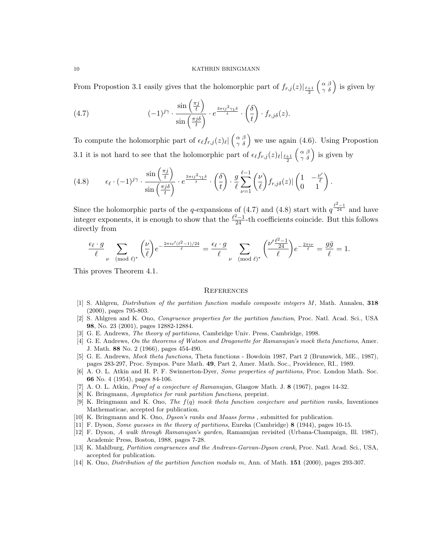From Propostion 3.1 easily gives that the holomorphic part of  $f_{r,j}(z)|_{\frac{\ell+1}{2}}$  $\begin{pmatrix} \alpha & \beta \\ \gamma & \delta \end{pmatrix}$  is given by

(4.7) 
$$
(-1)^{j\gamma} \cdot \frac{\sin\left(\frac{\pi j}{t}\right)}{\sin\left(\frac{\pi j\delta}{t}\right)} \cdot e^{\frac{3\pi i j^2 \gamma_1 \delta}{t}} \cdot \left(\frac{\delta}{t}\right) \cdot f_{r,j\delta}(z).
$$

To compute the holomorphic part of  $\epsilon_{\ell} f_{r,j}(z)_{\ell} \left( \begin{array}{c} \alpha \\ \gamma \delta \end{array} \right)$  we use again (4.6). Using Propostion 3.1 it is not hard to see that the holomorphic part of  $\epsilon_{\ell} f_{r,j}(z)_{\ell}|_{\frac{\ell+1}{2}}$  $\begin{pmatrix} \alpha & \beta \\ \gamma & \delta \end{pmatrix}$  is given by

(4.8) 
$$
\epsilon_{\ell} \cdot (-1)^{j\gamma} \cdot \frac{\sin\left(\frac{\pi j}{t}\right)}{\sin\left(\frac{\pi j\delta}{t}\right)} \cdot e^{\frac{3\pi i j^2 \gamma_1 \delta}{t}} \cdot \left(\frac{\delta}{t}\right) \cdot \frac{g}{\ell} \sum_{\nu=1}^{\ell-1} {\nu \choose \ell} f_{r,j\delta}(z) \cdot \left(\begin{matrix} 1 & -\frac{\nu'}{\ell} \\ 0 & 1 \end{matrix}\right).
$$

Since the holomorphic parts of the q-expansions of (4.7) and (4.8) start with  $q^{\frac{\ell^2-1}{24}}$  and have integer exponents, it is enough to show that the  $\frac{\ell^2-1}{24}$ -th coefficients coincide. But this follows directly from

$$
\frac{\epsilon_{\ell} \cdot g}{\ell} \sum_{\nu \pmod{\ell}^*} {\binom{\nu}{\ell}} e^{-\frac{2\pi i \nu'(\ell^2 - 1)/24}{\ell}} = \frac{\epsilon_{\ell} \cdot g}{\ell} \sum_{\nu \pmod{\ell}^*} {\binom{\nu' \frac{\ell^2 - 1}{24}}{\ell}} e^{-\frac{2\pi i \nu}{\ell}} = \frac{g\bar{g}}{\ell} = 1.
$$

This proves Theorem 4.1.

#### **REFERENCES**

- [1] S. Ahlgren, Distribution of the partition function modulo composite integers M, Math. Annalen, 318 (2000), pages 795-803.
- [2] S. Ahlgren and K. Ono, Congruence properties for the partition function, Proc. Natl. Acad. Sci., USA 98, No. 23 (2001), pages 12882-12884.
- [3] G. E. Andrews, The theory of partitions, Cambridge Univ. Press, Cambridge, 1998.
- [4] G. E. Andrews, On the theorems of Watson and Dragonette for Ramanujan's mock theta functions, Amer. J. Math. 88 No. 2 (1966), pages 454-490.
- [5] G. E. Andrews, Mock theta functions, Theta functions Bowdoin 1987, Part 2 (Brunswick, ME., 1987), pages 283-297, Proc. Sympos. Pure Math. 49, Part 2, Amer. Math. Soc., Providence, RI., 1989.
- [6] A. O. L. Atkin and H. P. F. Swinnerton-Dyer, Some properties of partitions, Proc. London Math. Soc. 66 No. 4 (1954), pages 84-106.
- [7] A. O. L. Atkin, Proof of a conjecture of Ramanujan, Glasgow Math. J. 8 (1967), pages 14-32.
- [8] K. Bringmann, Aymptotics for rank partition functions, preprint.
- [9] K. Bringmann and K. Ono, The  $f(q)$  mock theta function conjecture and partition ranks, Inventiones Mathematicae, accepted for publication.
- [10] K. Bringmann and K. Ono, Dyson's ranks and Maass forms , submitted for publication.
- [11] F. Dyson, Some guesses in the theory of partitions, Eureka (Cambridge) 8 (1944), pages 10-15.
- [12] F. Dyson, A walk through Ramanujan's garden, Ramanujan revisited (Urbana-Champaign, Ill. 1987), Academic Press, Boston, 1988, pages 7-28.
- [13] K. Mahlburg, Partition congruences and the Andrews-Garvan-Dyson crank, Proc. Natl. Acad. Sci., USA, accepted for publication.
- [14] K. Ono, Distribution of the partition function modulo m, Ann. of Math. 151 (2000), pages 293-307.